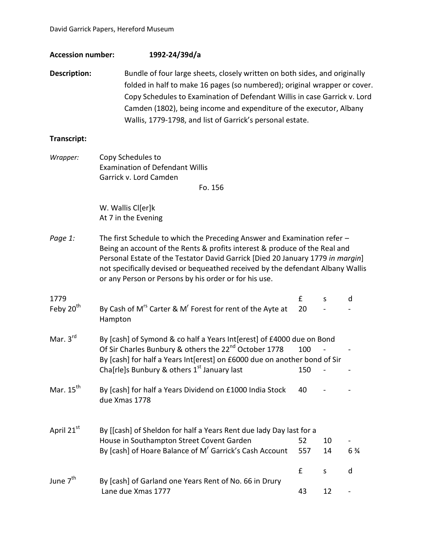## **Accession number: 1992-24/39d/a**

**Description:** Bundle of four large sheets, closely written on both sides, and originally folded in half to make 16 pages (so numbered); original wrapper or cover. Copy Schedules to Examination of Defendant Willis in case Garrick v. Lord Camden (1802), being income and expenditure of the executor, Albany Wallis, 1779-1798, and list of Garrick's personal estate.

#### **Transcript:**

| Wrapper:                      | Copy Schedules to                                                                                                                                                                                                                                                                                                                                                                   |            |          |                |
|-------------------------------|-------------------------------------------------------------------------------------------------------------------------------------------------------------------------------------------------------------------------------------------------------------------------------------------------------------------------------------------------------------------------------------|------------|----------|----------------|
|                               | <b>Examination of Defendant Willis</b>                                                                                                                                                                                                                                                                                                                                              |            |          |                |
|                               | Garrick v. Lord Camden<br>Fo. 156                                                                                                                                                                                                                                                                                                                                                   |            |          |                |
|                               | W. Wallis Cl[er]k<br>At 7 in the Evening                                                                                                                                                                                                                                                                                                                                            |            |          |                |
| Page 1:                       | The first Schedule to which the Preceding Answer and Examination refer -<br>Being an account of the Rents & profits interest & produce of the Real and<br>Personal Estate of the Testator David Garrick [Died 20 January 1779 in margin]<br>not specifically devised or bequeathed received by the defendant Albany Wallis<br>or any Person or Persons by his order or for his use. |            |          |                |
| 1779<br>Feby 20 <sup>th</sup> | By Cash of M <sup>rs</sup> Carter & M <sup>r</sup> Forest for rent of the Ayte at<br>Hampton                                                                                                                                                                                                                                                                                        | £<br>20    | S        | d              |
| Mar. $3rd$                    | By [cash] of Symond & co half a Years Int[erest] of £4000 due on Bond<br>Of Sir Charles Bunbury & others the 22 <sup>nd</sup> October 1778<br>By [cash] for half a Years Int[erest] on £6000 due on another bond of Sir<br>Cha[rle]s Bunbury & others 1 <sup>st</sup> January last                                                                                                  | 100<br>150 |          |                |
| Mar. 15 <sup>th</sup>         | By [cash] for half a Years Dividend on £1000 India Stock<br>due Xmas 1778                                                                                                                                                                                                                                                                                                           | 40         |          |                |
| April 21st                    | By [[cash] of Sheldon for half a Years Rent due lady Day last for a<br>House in Southampton Street Covent Garden<br>By [cash] of Hoare Balance of M <sup>r</sup> Garrick's Cash Account                                                                                                                                                                                             | 52<br>557  | 10<br>14 | $6\frac{3}{4}$ |
| June 7 <sup>th</sup>          | By [cash] of Garland one Years Rent of No. 66 in Drury<br>Lane due Xmas 1777                                                                                                                                                                                                                                                                                                        | £<br>43    | S<br>12  | d              |
|                               |                                                                                                                                                                                                                                                                                                                                                                                     |            |          |                |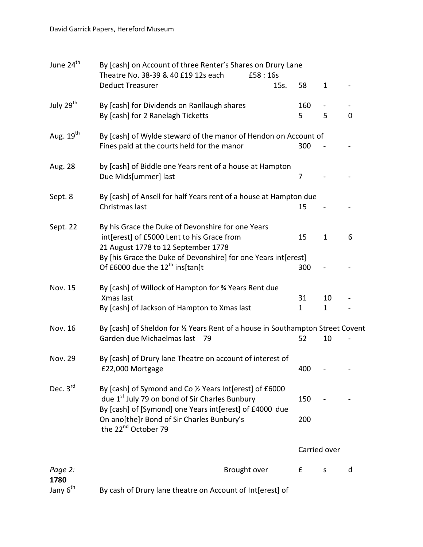| June 24 <sup>th</sup> | By [cash] on Account of three Renter's Shares on Drury Lane<br>Theatre No. 38-39 & 40 £19 12s each                                       | £58:16s |              |              |             |
|-----------------------|------------------------------------------------------------------------------------------------------------------------------------------|---------|--------------|--------------|-------------|
|                       | <b>Deduct Treasurer</b>                                                                                                                  | 15s.    | 58           | $\mathbf{1}$ |             |
| July 29 <sup>th</sup> | By [cash] for Dividends on Ranllaugh shares                                                                                              |         | 160          | -            |             |
|                       | By [cash] for 2 Ranelagh Ticketts                                                                                                        |         | 5            | 5            | $\mathbf 0$ |
| Aug. 19 <sup>th</sup> | By [cash] of Wylde steward of the manor of Hendon on Account of                                                                          |         |              |              |             |
|                       | Fines paid at the courts held for the manor                                                                                              |         | 300          |              |             |
| Aug. 28               | by [cash] of Biddle one Years rent of a house at Hampton<br>Due Mids[ummer] last                                                         |         | 7            |              |             |
| Sept. 8               | By [cash] of Ansell for half Years rent of a house at Hampton due<br>Christmas last                                                      |         | 15           |              |             |
| Sept. 22              | By his Grace the Duke of Devonshire for one Years                                                                                        |         |              |              |             |
|                       | int[erest] of £5000 Lent to his Grace from<br>21 August 1778 to 12 September 1778                                                        |         | 15           | $\mathbf{1}$ | 6           |
|                       | By [his Grace the Duke of Devonshire] for one Years int [erest]                                                                          |         |              |              |             |
|                       | Of £6000 due the $12^{th}$ ins[tan]t                                                                                                     |         | 300          |              |             |
| Nov. 15               | By [cash] of Willock of Hampton for 3⁄4 Years Rent due<br>Xmas last                                                                      |         | 31           | 10           |             |
|                       | By [cash] of Jackson of Hampton to Xmas last                                                                                             |         | $\mathbf{1}$ | $\mathbf{1}$ |             |
| Nov. 16               | By [cash] of Sheldon for 1/2 Years Rent of a house in Southampton Street Covent                                                          |         |              |              |             |
|                       | Garden due Michaelmas last 79                                                                                                            |         | 52           | 10           |             |
| Nov. 29               | By [cash] of Drury lane Theatre on account of interest of<br>£22,000 Mortgage                                                            |         | 400          |              |             |
| Dec. 3rd              | By [cash] of Symond and Co 1/2 Years Int[erest] of £6000<br>due 1 <sup>st</sup> July 79 on bond of Sir Charles Bunbury                   |         | 150          |              |             |
|                       | By [cash] of [Symond] one Years int[erest] of £4000 due<br>On ano[the]r Bond of Sir Charles Bunbury's<br>the 22 <sup>nd</sup> October 79 |         | 200          |              |             |
|                       |                                                                                                                                          |         |              | Carried over |             |
| Page 2:<br>1780       | Brought over                                                                                                                             |         | £            | S            | d           |
| Jany 6 <sup>th</sup>  | By cash of Drury lane theatre on Account of Int[erest] of                                                                                |         |              |              |             |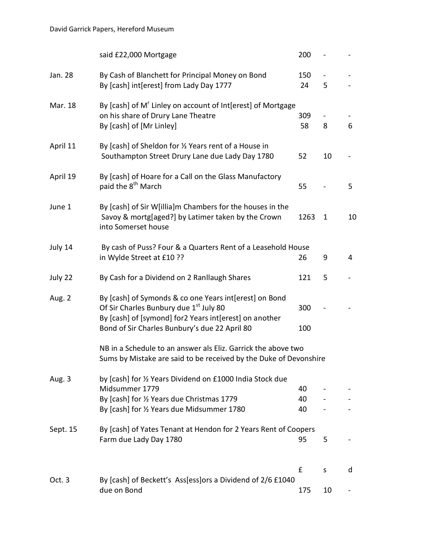|          | said £22,000 Mortgage                                                                                                                                                                                                   | 200            |                     |    |
|----------|-------------------------------------------------------------------------------------------------------------------------------------------------------------------------------------------------------------------------|----------------|---------------------|----|
| Jan. 28  | By Cash of Blanchett for Principal Money on Bond<br>By [cash] int[erest] from Lady Day 1777                                                                                                                             | 150<br>24      | $\blacksquare$<br>5 |    |
| Mar. 18  | By [cash] of M' Linley on account of Int[erest] of Mortgage<br>on his share of Drury Lane Theatre<br>By [cash] of [Mr Linley]                                                                                           | 309<br>58      | $\blacksquare$<br>8 | 6  |
| April 11 | By [cash] of Sheldon for 1/2 Years rent of a House in<br>Southampton Street Drury Lane due Lady Day 1780                                                                                                                | 52             | 10                  |    |
| April 19 | By [cash] of Hoare for a Call on the Glass Manufactory<br>paid the 8 <sup>th</sup> March                                                                                                                                | 55             |                     | 5  |
| June 1   | By [cash] of Sir W[illia]m Chambers for the houses in the<br>Savoy & mortg[aged?] by Latimer taken by the Crown<br>into Somerset house                                                                                  | 1263           | $\mathbf{1}$        | 10 |
| July 14  | By cash of Puss? Four & a Quarters Rent of a Leasehold House<br>in Wylde Street at £10 ??                                                                                                                               | 26             | 9                   | 4  |
| July 22  | By Cash for a Dividend on 2 Ranllaugh Shares                                                                                                                                                                            | 121            | 5                   |    |
| Aug. 2   | By [cash] of Symonds & co one Years int[erest] on Bond<br>Of Sir Charles Bunbury due 1 <sup>st</sup> July 80<br>By [cash] of [symond] for2 Years int[erest] on another<br>Bond of Sir Charles Bunbury's due 22 April 80 | 300<br>100     |                     |    |
|          | NB in a Schedule to an answer als Eliz. Garrick the above two<br>Sums by Mistake are said to be received by the Duke of Devonshire                                                                                      |                |                     |    |
| Aug. 3   | by [cash] for 1/2 Years Dividend on £1000 India Stock due<br>Midsummer 1779<br>By [cash] for 1/2 Years due Christmas 1779<br>By [cash] for 1/2 Years due Midsummer 1780                                                 | 40<br>40<br>40 |                     |    |
| Sept. 15 | By [cash] of Yates Tenant at Hendon for 2 Years Rent of Coopers<br>Farm due Lady Day 1780                                                                                                                               | 95             | 5                   |    |
| Oct.3    | By [cash] of Beckett's Ass[ess]ors a Dividend of 2/6 £1040<br>due on Bond                                                                                                                                               | £<br>175       | S<br>10             | d  |
|          |                                                                                                                                                                                                                         |                |                     |    |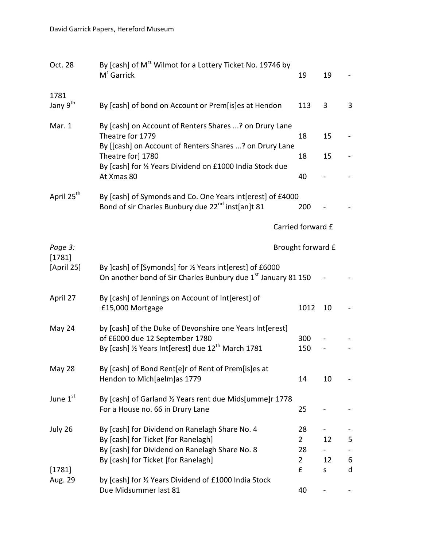| Oct. 28                | By [cash] of M <sup>rs</sup> Wilmot for a Lottery Ticket No. 19746 by<br>M <sup>r</sup> Garrick                                                              | 19                   | 19 |        |
|------------------------|--------------------------------------------------------------------------------------------------------------------------------------------------------------|----------------------|----|--------|
| 1781                   |                                                                                                                                                              |                      |    |        |
| Jany 9 <sup>th</sup>   | By [cash] of bond on Account or Prem[is]es at Hendon                                                                                                         | 113                  | 3  | 3      |
| Mar. 1                 | By [cash] on Account of Renters Shares ? on Drury Lane<br>Theatre for 1779<br>By [[cash] on Account of Renters Shares ? on Drury Lane                        | 18                   | 15 |        |
|                        | Theatre for] 1780<br>By [cash] for 1/2 Years Dividend on £1000 India Stock due                                                                               | 18                   | 15 |        |
|                        | At Xmas 80                                                                                                                                                   | 40                   |    |        |
| April 25 <sup>th</sup> | By [cash] of Symonds and Co. One Years int [erest] of £4000<br>Bond of sir Charles Bunbury due 22 <sup>nd</sup> inst[an]t 81                                 | 200                  |    |        |
|                        |                                                                                                                                                              | Carried forward £    |    |        |
| Page 3:<br>[1781]      |                                                                                                                                                              | Brought forward £    |    |        |
| [April 25]             | By ]cash] of [Symonds] for 1/2 Years int [erest] of £6000<br>On another bond of Sir Charles Bunbury due 1st January 81 150                                   |                      |    |        |
| April 27               | By [cash] of Jennings on Account of Int[erest] of<br>£15,000 Mortgage                                                                                        | 1012                 | 10 |        |
| May 24                 | by [cash] of the Duke of Devonshire one Years Int[erest]<br>of £6000 due 12 September 1780<br>By [cash] 1/2 Years Int[erest] due 12 <sup>th</sup> March 1781 | 300<br>150           |    |        |
| May 28                 | By [cash] of Bond Rent[e]r of Rent of Prem[is]es at<br>Hendon to Mich[aelm]as 1779                                                                           | 14                   | 10 |        |
| June 1st               | By [cash] of Garland 1/2 Years rent due Mids[umme]r 1778<br>For a House no. 66 in Drury Lane                                                                 | 25                   |    |        |
| July 26                | By [cash] for Dividend on Ranelagh Share No. 4<br>By [cash] for Ticket [for Ranelagh]                                                                        | 28<br>$\overline{2}$ | 12 | 5      |
|                        | By [cash] for Dividend on Ranelagh Share No. 8                                                                                                               | 28                   |    |        |
|                        | By [cash] for Ticket [for Ranelagh]                                                                                                                          | $\overline{2}$<br>£  | 12 | 6<br>d |
| [1781]<br>Aug. 29      | by [cash] for 1/2 Years Dividend of £1000 India Stock                                                                                                        |                      | S  |        |
|                        | Due Midsummer last 81                                                                                                                                        | 40                   |    |        |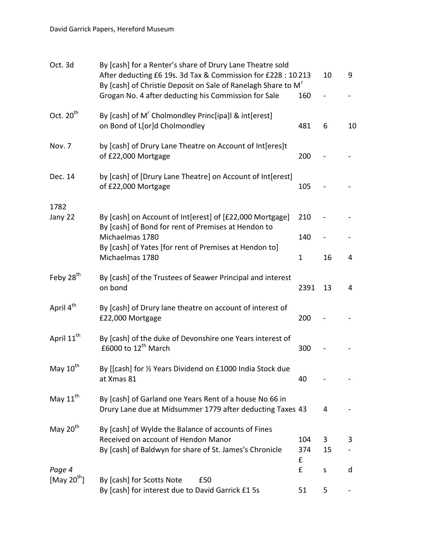| Oct. 3d                | By [cash] for a Renter's share of Drury Lane Theatre sold<br>After deducting £6 19s. 3d Tax & Commission for £228 : 10 213<br>By [cash] of Christie Deposit on Sale of Ranelagh Share to M <sup>r</sup><br>Grogan No. 4 after deducting his Commission for Sale | 160      | 10      | 9  |
|------------------------|-----------------------------------------------------------------------------------------------------------------------------------------------------------------------------------------------------------------------------------------------------------------|----------|---------|----|
| Oct. 20 <sup>th</sup>  | By [cash] of M <sup>r</sup> Cholmondley Princ[ipa]l & int[erest]<br>on Bond of L[or]d Cholmondley                                                                                                                                                               | 481      | 6       | 10 |
| Nov. 7                 | by [cash] of Drury Lane Theatre on Account of Int[eres]t<br>of £22,000 Mortgage                                                                                                                                                                                 | 200      |         |    |
| Dec. 14                | by [cash] of [Drury Lane Theatre] on Account of Int[erest]<br>of £22,000 Mortgage                                                                                                                                                                               | 105      |         |    |
| 1782                   |                                                                                                                                                                                                                                                                 |          |         |    |
| Jany 22                | By [cash] on Account of Int[erest] of [£22,000 Mortgage]<br>By [cash] of Bond for rent of Premises at Hendon to                                                                                                                                                 | 210      |         |    |
|                        | Michaelmas 1780                                                                                                                                                                                                                                                 | 140      |         |    |
|                        | By [cash] of Yates [for rent of Premises at Hendon to]<br>Michaelmas 1780                                                                                                                                                                                       | 1        | 16      | 4  |
| Feby 28 <sup>th</sup>  | By [cash] of the Trustees of Seawer Principal and interest<br>on bond                                                                                                                                                                                           | 2391     | 13      | 4  |
| April 4 <sup>th</sup>  | By [cash] of Drury lane theatre on account of interest of<br>£22,000 Mortgage                                                                                                                                                                                   | 200      |         |    |
| April 11 <sup>th</sup> | By [cash] of the duke of Devonshire one Years interest of<br>£6000 to 12 <sup>th</sup> March                                                                                                                                                                    | 300      |         |    |
| May 10 <sup>th</sup>   | By [[cash] for 1/2 Years Dividend on £1000 India Stock due<br>at Xmas 81                                                                                                                                                                                        | 40       |         |    |
| May 11 <sup>th</sup>   | By [cash] of Garland one Years Rent of a house No 66 in<br>Drury Lane due at Midsummer 1779 after deducting Taxes 43                                                                                                                                            |          | 4       |    |
| May 20 <sup>th</sup>   | By [cash] of Wylde the Balance of accounts of Fines                                                                                                                                                                                                             |          |         |    |
|                        | Received on account of Hendon Manor                                                                                                                                                                                                                             | 104      | 3       | 3  |
|                        | By [cash] of Baldwyn for share of St. James's Chronicle                                                                                                                                                                                                         | 374<br>£ | 15      |    |
| Page 4                 |                                                                                                                                                                                                                                                                 | £        | $\sf S$ | d  |
| [May $20^{th}$ ]       | By [cash] for Scotts Note<br>£50<br>By [cash] for interest due to David Garrick £1 5s                                                                                                                                                                           | 51       | 5       |    |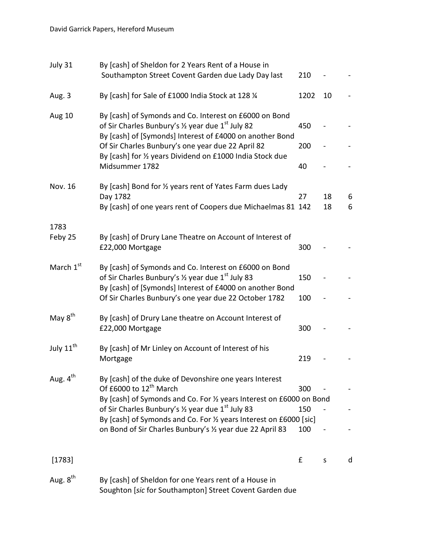| July 31               | By [cash] of Sheldon for 2 Years Rent of a House in<br>Southampton Street Covent Garden due Lady Day last                                                                           | 210       |          |        |
|-----------------------|-------------------------------------------------------------------------------------------------------------------------------------------------------------------------------------|-----------|----------|--------|
| Aug. 3                | By [cash] for Sale of £1000 India Stock at 128 1/4                                                                                                                                  | 1202      | 10       |        |
| <b>Aug 10</b>         | By [cash] of Symonds and Co. Interest on £6000 on Bond<br>of Sir Charles Bunbury's 1/2 year due 1 <sup>st</sup> July 82<br>By [cash] of [Symonds] Interest of £4000 on another Bond | 450       |          |        |
|                       | Of Sir Charles Bunbury's one year due 22 April 82<br>By [cash] for 1/2 years Dividend on £1000 India Stock due<br>Midsummer 1782                                                    | 200<br>40 |          |        |
| Nov. 16               | By [cash] Bond for 1/2 years rent of Yates Farm dues Lady<br>Day 1782<br>By [cash] of one years rent of Coopers due Michaelmas 81 142                                               | 27        | 18<br>18 | 6<br>6 |
| 1783<br>Feby 25       | By [cash] of Drury Lane Theatre on Account of Interest of<br>£22,000 Mortgage                                                                                                       | 300       |          |        |
| March 1 <sup>st</sup> | By [cash] of Symonds and Co. Interest on £6000 on Bond<br>of Sir Charles Bunbury's 1/2 year due 1 <sup>st</sup> July 83<br>By [cash] of [Symonds] Interest of £4000 on another Bond | 150       |          |        |
|                       | Of Sir Charles Bunbury's one year due 22 October 1782                                                                                                                               | 100       |          |        |
| May 8 <sup>th</sup>   | By [cash] of Drury Lane theatre on Account Interest of<br>£22,000 Mortgage                                                                                                          | 300       |          |        |
| July 11 <sup>th</sup> | By [cash] of Mr Linley on Account of Interest of his<br>Mortgage                                                                                                                    | 219       |          |        |
| Aug. 4 <sup>th</sup>  | By [cash] of the duke of Devonshire one years Interest<br>Of £6000 to 12 <sup>th</sup> March                                                                                        | 300       |          |        |
|                       | By [cash] of Symonds and Co. For 1/2 years Interest on £6000 on Bond<br>of Sir Charles Bunbury's 1/2 year due 1 <sup>st</sup> July 83                                               | 150       |          |        |
|                       | By [cash] of Symonds and Co. For 1/2 years Interest on £6000 [sic]<br>on Bond of Sir Charles Bunbury's 1/2 year due 22 April 83                                                     | 100       |          |        |
| [1783]                |                                                                                                                                                                                     | £         | S        | d      |
| Aug. 8 <sup>th</sup>  | By [cash] of Sheldon for one Years rent of a House in<br>Soughton [sic for Southampton] Street Covent Garden due                                                                    |           |          |        |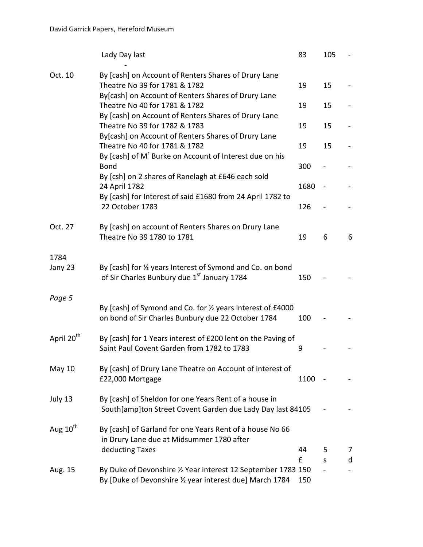|                        | Lady Day last                                                                                                             | 83   | 105 |   |
|------------------------|---------------------------------------------------------------------------------------------------------------------------|------|-----|---|
| Oct. 10                | By [cash] on Account of Renters Shares of Drury Lane<br>Theatre No 39 for 1781 & 1782                                     | 19   | 15  |   |
|                        | By[cash] on Account of Renters Shares of Drury Lane<br>Theatre No 40 for 1781 & 1782                                      | 19   | 15  |   |
|                        | By [cash] on Account of Renters Shares of Drury Lane<br>Theatre No 39 for 1782 & 1783                                     | 19   | 15  |   |
|                        | By[cash] on Account of Renters Shares of Drury Lane<br>Theatre No 40 for 1781 & 1782                                      | 19   | 15  |   |
|                        | By [cash] of M <sup>'</sup> Burke on Account of Interest due on his<br><b>Bond</b>                                        | 300  |     |   |
|                        | By [csh] on 2 shares of Ranelagh at £646 each sold<br>24 April 1782                                                       | 1680 |     |   |
|                        | By [cash] for Interest of said £1680 from 24 April 1782 to<br>22 October 1783                                             | 126  |     |   |
| Oct. 27                | By [cash] on account of Renters Shares on Drury Lane<br>Theatre No 39 1780 to 1781                                        | 19   | 6   | 6 |
| 1784<br>Jany 23        | By [cash] for 1/2 years Interest of Symond and Co. on bond<br>of Sir Charles Bunbury due 1st January 1784                 | 150  |     |   |
| Page 5                 | By [cash] of Symond and Co. for 1/2 years Interest of £4000<br>on bond of Sir Charles Bunbury due 22 October 1784         | 100  |     |   |
| April 20 <sup>th</sup> | By [cash] for 1 Years interest of £200 lent on the Paving of<br>Saint Paul Covent Garden from 1782 to 1783                | 9    |     |   |
| May $10$               | By [cash] of Drury Lane Theatre on Account of interest of<br>£22,000 Mortgage                                             | 1100 |     |   |
| July 13                | By [cash] of Sheldon for one Years Rent of a house in<br>South[amp]ton Street Covent Garden due Lady Day last 84105       |      |     |   |
| Aug 10 <sup>th</sup>   | By [cash] of Garland for one Years Rent of a house No 66<br>in Drury Lane due at Midsummer 1780 after                     |      |     |   |
|                        | deducting Taxes                                                                                                           | 44   | 5   | 7 |
|                        |                                                                                                                           | £    | S   | d |
| Aug. 15                | By Duke of Devonshire 1/2 Year interest 12 September 1783 150<br>By [Duke of Devonshire 1/2 year interest due] March 1784 | 150  |     |   |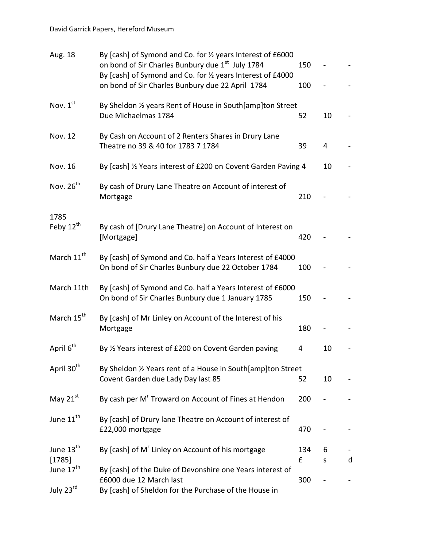| Aug. 18                            | By [cash] of Symond and Co. for 1/2 years Interest of £6000<br>on bond of Sir Charles Bunbury due 1 <sup>st</sup> July 1784<br>By [cash] of Symond and Co. for 1/2 years Interest of £4000<br>on bond of Sir Charles Bunbury due 22 April 1784 | 150<br>100 |        |   |
|------------------------------------|------------------------------------------------------------------------------------------------------------------------------------------------------------------------------------------------------------------------------------------------|------------|--------|---|
| Nov. $1st$                         | By Sheldon 1/2 years Rent of House in South[amp]ton Street<br>Due Michaelmas 1784                                                                                                                                                              | 52         | 10     |   |
| <b>Nov. 12</b>                     | By Cash on Account of 2 Renters Shares in Drury Lane<br>Theatre no 39 & 40 for 1783 7 1784                                                                                                                                                     | 39         | 4      |   |
| Nov. 16                            | By [cash] 1/2 Years interest of £200 on Covent Garden Paving 4                                                                                                                                                                                 |            | 10     |   |
| Nov. 26 <sup>th</sup>              | By cash of Drury Lane Theatre on Account of interest of<br>Mortgage                                                                                                                                                                            | 210        |        |   |
| 1785<br>Feby 12 <sup>th</sup>      | By cash of [Drury Lane Theatre] on Account of Interest on<br>[Mortgage]                                                                                                                                                                        | 420        |        |   |
| March 11 <sup>th</sup>             | By [cash] of Symond and Co. half a Years Interest of £4000<br>On bond of Sir Charles Bunbury due 22 October 1784                                                                                                                               | 100        |        |   |
| March 11th                         | By [cash] of Symond and Co. half a Years Interest of £6000<br>On bond of Sir Charles Bunbury due 1 January 1785                                                                                                                                | 150        |        |   |
| March 15 <sup>th</sup>             | By [cash] of Mr Linley on Account of the Interest of his<br>Mortgage                                                                                                                                                                           | 180        |        |   |
| April 6 <sup>th</sup>              | By 1/2 Years interest of £200 on Covent Garden paving                                                                                                                                                                                          | 4          | 10     |   |
| April 30 <sup>th</sup>             | By Sheldon 1/2 Years rent of a House in South[amp]ton Street<br>Covent Garden due Lady Day last 85                                                                                                                                             | 52         | 10     |   |
| May 21st                           | By cash per M <sup>r</sup> Troward on Account of Fines at Hendon                                                                                                                                                                               | 200        |        |   |
| June 11 <sup>th</sup>              | By [cash] of Drury lane Theatre on Account of interest of<br>£22,000 mortgage                                                                                                                                                                  | 470        |        |   |
| June 13 <sup>th</sup><br>[1785]    | By [cash] of M' Linley on Account of his mortgage                                                                                                                                                                                              | 134<br>£   | 6<br>S | d |
| June 17 <sup>th</sup><br>July 23rd | By [cash] of the Duke of Devonshire one Years interest of<br>£6000 due 12 March last<br>By [cash] of Sheldon for the Purchase of the House in                                                                                                  | 300        |        |   |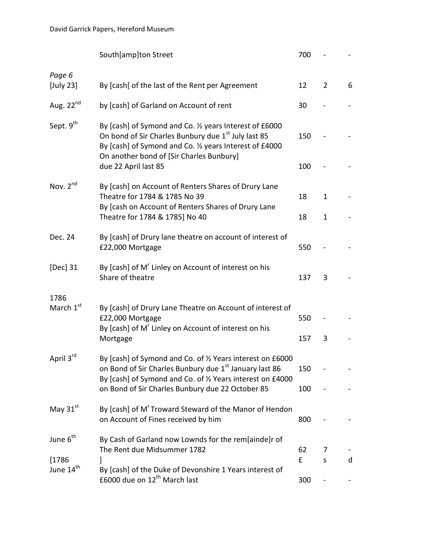|                                 | South[amp]ton Street                                                                                                                                                                                                              | 700 |                |   |
|---------------------------------|-----------------------------------------------------------------------------------------------------------------------------------------------------------------------------------------------------------------------------------|-----|----------------|---|
| Page 6<br>[July 23]             | By [cash] of the last of the Rent per Agreement                                                                                                                                                                                   | 12  | $\overline{2}$ | 6 |
| Aug. $22^{nd}$                  | by [cash] of Garland on Account of rent                                                                                                                                                                                           | 30  |                |   |
| Sept. 9 <sup>th</sup>           | By [cash] of Symond and Co. 1/2 years Interest of £6000<br>On bond of Sir Charles Bunbury due 1 <sup>st</sup> July last 85<br>By [cash] of Symond and Co. 1/2 years Interest of £4000<br>On another bond of [Sir Charles Bunbury] | 150 |                |   |
|                                 | due 22 April last 85                                                                                                                                                                                                              | 100 |                |   |
| Nov. 2 <sup>nd</sup>            | By [cash] on Account of Renters Shares of Drury Lane<br>Theatre for 1784 & 1785 No 39<br>By [cash on Account of Renters Shares of Drury Lane                                                                                      | 18  | 1              |   |
|                                 | Theatre for 1784 & 1785] No 40                                                                                                                                                                                                    | 18  | $\mathbf{1}$   |   |
| Dec. 24                         | By [cash] of Drury lane theatre on account of interest of<br>£22,000 Mortgage                                                                                                                                                     | 550 |                |   |
| [Dec] 31                        | By [cash] of M' Linley on Account of interest on his<br>Share of theatre                                                                                                                                                          | 137 | 3              |   |
| 1786<br>March 1 <sup>st</sup>   | By [cash] of Drury Lane Theatre on Account of interest of<br>£22,000 Mortgage<br>By [cash] of M <sup>'</sup> Linley on Account of interest on his                                                                                 | 550 |                |   |
|                                 | Mortgage                                                                                                                                                                                                                          | 157 | 3              |   |
| April 3rd                       | By [cash] of Symond and Co. of 1/2 Years interest on £6000<br>on Bond of Sir Charles Bunbury due 1st January last 86<br>By [cash] of Symond and Co. of 1/2 Years interest on £4000                                                | 150 |                |   |
|                                 | on Bond of Sir Charles Bunbury due 22 October 85                                                                                                                                                                                  | 100 |                |   |
| May 31st                        | By [cash] of M' Troward Steward of the Manor of Hendon<br>on Account of Fines received by him                                                                                                                                     | 800 |                |   |
| June 6 <sup>th</sup>            | By Cash of Garland now Lownds for the rem[ainde]r of<br>The Rent due Midsummer 1782                                                                                                                                               | 62  | 7              |   |
| [1786]<br>June 14 <sup>th</sup> | By [cash] of the Duke of Devonshire 1 Years interest of                                                                                                                                                                           | £   | S              | d |
|                                 | £6000 due on 12 <sup>th</sup> March last                                                                                                                                                                                          | 300 |                |   |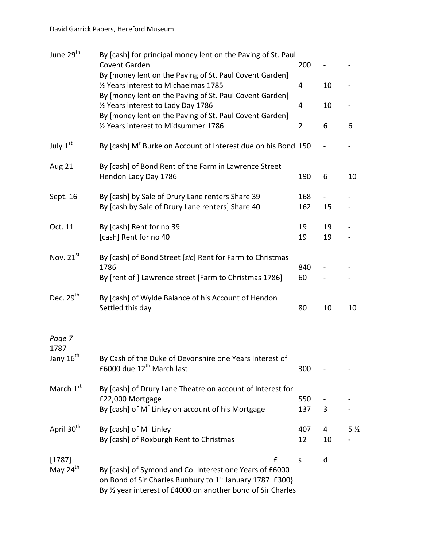| June 29 <sup>th</sup>          | By [cash] for principal money lent on the Paving of St. Paul<br>Covent Garden                                                                                                                        | 200            |          |                |
|--------------------------------|------------------------------------------------------------------------------------------------------------------------------------------------------------------------------------------------------|----------------|----------|----------------|
|                                | By [money lent on the Paving of St. Paul Covent Garden]<br>1785 Years interest to Michaelmas                                                                                                         | 4              | 10       |                |
|                                | By [money lent on the Paving of St. Paul Covent Garden]<br>1/2 Years interest to Lady Day 1786                                                                                                       | 4              | 10       |                |
|                                | By [money lent on the Paving of St. Paul Covent Garden]<br>1786 Years interest to Midsummer                                                                                                          | $\overline{2}$ | 6        | 6              |
| July 1st                       | By [cash] M <sup>r</sup> Burke on Account of Interest due on his Bond 150                                                                                                                            |                |          |                |
| <b>Aug 21</b>                  | By [cash] of Bond Rent of the Farm in Lawrence Street<br>Hendon Lady Day 1786                                                                                                                        | 190            | 6        | 10             |
| Sept. 16                       | By [cash] by Sale of Drury Lane renters Share 39<br>By [cash by Sale of Drury Lane renters] Share 40                                                                                                 | 168<br>162     | 15       |                |
| Oct. 11                        | By [cash] Rent for no 39<br>[cash] Rent for no 40                                                                                                                                                    | 19<br>19       | 19<br>19 |                |
| Nov. $21^{st}$                 | By [cash] of Bond Street [sic] Rent for Farm to Christmas<br>1786<br>By [rent of ] Lawrence street [Farm to Christmas 1786]                                                                          | 840<br>60      |          |                |
| Dec. $29th$                    | By [cash] of Wylde Balance of his Account of Hendon<br>Settled this day                                                                                                                              | 80             | 10       | 10             |
| Page 7<br>1787                 |                                                                                                                                                                                                      |                |          |                |
| Jany 16 <sup>th</sup>          | By Cash of the Duke of Devonshire one Years Interest of<br>£6000 due 12 <sup>th</sup> March last                                                                                                     | 300            |          |                |
| March 1st                      | By [cash] of Drury Lane Theatre on account of Interest for<br>£22,000 Mortgage<br>By [cash] of M <sup>r</sup> Linley on account of his Mortgage                                                      | 550<br>137     | 3        |                |
| April 30 <sup>th</sup>         | By [cash] of M' Linley<br>By [cash] of Roxburgh Rent to Christmas                                                                                                                                    | 407<br>12      | 4<br>10  | 5 <sub>2</sub> |
| [1787]<br>May 24 <sup>th</sup> | £<br>By [cash] of Symond and Co. Interest one Years of £6000<br>on Bond of Sir Charles Bunbury to 1 <sup>st</sup> January 1787 £300}<br>By 1/2 year interest of £4000 on another bond of Sir Charles | S              | d        |                |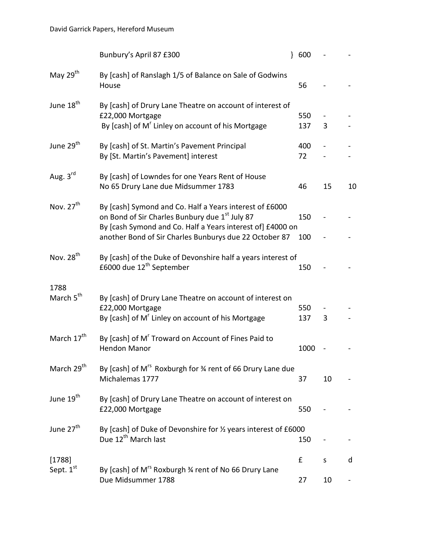|                               | Bunbury's April 87 £300                                                                                                                                                                                                                       | 600        |    |    |
|-------------------------------|-----------------------------------------------------------------------------------------------------------------------------------------------------------------------------------------------------------------------------------------------|------------|----|----|
| May $29th$                    | By [cash] of Ranslagh 1/5 of Balance on Sale of Godwins<br>House                                                                                                                                                                              | 56         |    |    |
| June 18 <sup>th</sup>         | By [cash] of Drury Lane Theatre on account of interest of<br>£22,000 Mortgage<br>By [cash] of M' Linley on account of his Mortgage                                                                                                            | 550<br>137 | 3  |    |
| June 29 <sup>th</sup>         | By [cash] of St. Martin's Pavement Principal<br>By [St. Martin's Pavement] interest                                                                                                                                                           | 400<br>72  |    |    |
| Aug. 3rd                      | By [cash] of Lowndes for one Years Rent of House<br>No 65 Drury Lane due Midsummer 1783                                                                                                                                                       | 46         | 15 | 10 |
| Nov. $27th$                   | By [cash] Symond and Co. Half a Years interest of £6000<br>on Bond of Sir Charles Bunbury due 1 <sup>st</sup> July 87<br>By [cash Symond and Co. Half a Years interest of] £4000 on<br>another Bond of Sir Charles Bunburys due 22 October 87 | 150<br>100 |    |    |
| Nov. 28 <sup>th</sup>         | By [cash] of the Duke of Devonshire half a years interest of<br>£6000 due 12 <sup>th</sup> September                                                                                                                                          | 150        |    |    |
| 1788<br>March 5 <sup>th</sup> | By [cash] of Drury Lane Theatre on account of interest on<br>£22,000 Mortgage<br>By [cash] of M' Linley on account of his Mortgage                                                                                                            | 550<br>137 | 3  |    |
| March 17 <sup>th</sup>        | By [cash] of M <sup>r</sup> Troward on Account of Fines Paid to<br><b>Hendon Manor</b>                                                                                                                                                        | 1000       |    |    |
| March 29 <sup>th</sup>        | By [cash] of M <sup>rs</sup> Roxburgh for 34 rent of 66 Drury Lane due<br>Michalemas 1777                                                                                                                                                     | 37         | 10 |    |
| June 19 <sup>th</sup>         | By [cash] of Drury Lane Theatre on account of interest on<br>£22,000 Mortgage                                                                                                                                                                 | 550        |    |    |
| June 27 <sup>th</sup>         | By [cash] of Duke of Devonshire for 1/2 years interest of £6000<br>Due 12 <sup>th</sup> March last                                                                                                                                            | 150        |    |    |
| [1788]<br>Sept. 1st           | By [cash] of M <sup>rs</sup> Roxburgh 3⁄4 rent of No 66 Drury Lane                                                                                                                                                                            | £          | S  | d  |
|                               | Due Midsummer 1788                                                                                                                                                                                                                            | 27         | 10 |    |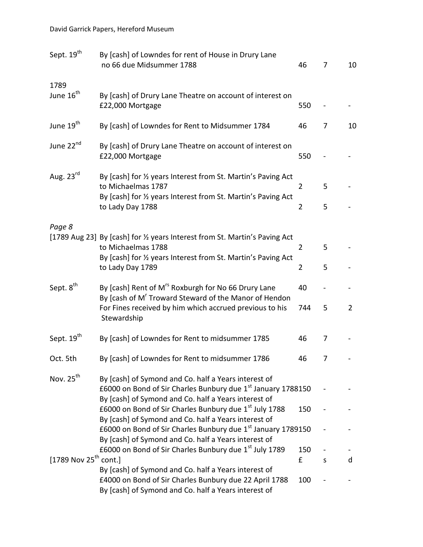| Sept. 19 <sup>th</sup>            | By [cash] of Lowndes for rent of House in Drury Lane<br>no 66 due Midsummer 1788                                                                                       | 46             | 7        | 10             |
|-----------------------------------|------------------------------------------------------------------------------------------------------------------------------------------------------------------------|----------------|----------|----------------|
| 1789                              |                                                                                                                                                                        |                |          |                |
| June 16 <sup>th</sup>             | By [cash] of Drury Lane Theatre on account of interest on<br>£22,000 Mortgage                                                                                          | 550            |          |                |
| June 19 <sup>th</sup>             | By [cash] of Lowndes for Rent to Midsummer 1784                                                                                                                        | 46             | 7        | 10             |
| June 22 <sup>nd</sup>             | By [cash] of Drury Lane Theatre on account of interest on<br>£22,000 Mortgage                                                                                          | 550            |          |                |
| Aug. 23rd                         | By [cash] for 1/2 years Interest from St. Martin's Paving Act<br>to Michaelmas 1787                                                                                    | $\overline{2}$ | 5        |                |
|                                   | By [cash] for 1/2 years Interest from St. Martin's Paving Act<br>to Lady Day 1788                                                                                      | $\overline{2}$ | 5        |                |
| Page 8                            |                                                                                                                                                                        |                |          |                |
|                                   | [1789 Aug 23] By [cash] for 1/2 years Interest from St. Martin's Paving Act<br>to Michaelmas 1788<br>By [cash] for 1/2 years Interest from St. Martin's Paving Act     | $\overline{2}$ | 5        |                |
|                                   | to Lady Day 1789                                                                                                                                                       | $\overline{2}$ | 5        |                |
| Sept. 8 <sup>th</sup>             | By [cash] Rent of M <sup>rs</sup> Roxburgh for No 66 Drury Lane<br>By [cash of M <sup>r</sup> Troward Steward of the Manor of Hendon                                   | 40             |          |                |
|                                   | For Fines received by him which accrued previous to his<br>Stewardship                                                                                                 | 744            | 5        | $\overline{2}$ |
| Sept. 19 <sup>th</sup>            | By [cash] of Lowndes for Rent to midsummer 1785                                                                                                                        | 46             | 7        |                |
| Oct. 5th                          | By [cash] of Lowndes for Rent to midsummer 1786                                                                                                                        | 46             | $\prime$ |                |
| Nov. 25 <sup>th</sup>             | By [cash] of Symond and Co. half a Years interest of<br>£6000 on Bond of Sir Charles Bunbury due 1 <sup>st</sup> January 1788150                                       |                |          |                |
|                                   | By [cash] of Symond and Co. half a Years interest of<br>£6000 on Bond of Sir Charles Bunbury due 1st July 1788<br>By [cash] of Symond and Co. half a Years interest of | 150            |          |                |
|                                   | £6000 on Bond of Sir Charles Bunbury due 1 <sup>st</sup> January 1789150<br>By [cash] of Symond and Co. half a Years interest of                                       |                |          |                |
|                                   | £6000 on Bond of Sir Charles Bunbury due 1st July 1789                                                                                                                 | 150            |          |                |
| [1789 Nov 25 <sup>th</sup> cont.] |                                                                                                                                                                        | f              | S        | d              |
|                                   | By [cash] of Symond and Co. half a Years interest of<br>£4000 on Bond of Sir Charles Bunbury due 22 April 1788<br>By [cash] of Symond and Co. half a Years interest of | 100            |          |                |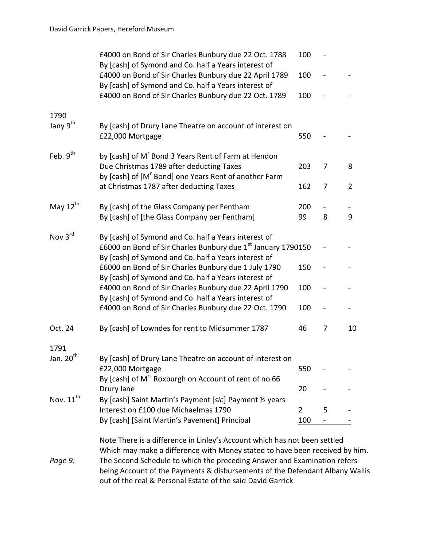|                       | £4000 on Bond of Sir Charles Bunbury due 22 Oct. 1788<br>By [cash] of Symond and Co. half a Years interest of  | 100            |   |                |
|-----------------------|----------------------------------------------------------------------------------------------------------------|----------------|---|----------------|
|                       | £4000 on Bond of Sir Charles Bunbury due 22 April 1789<br>By [cash] of Symond and Co. half a Years interest of | 100            |   |                |
|                       | £4000 on Bond of Sir Charles Bunbury due 22 Oct. 1789                                                          | 100            |   |                |
| 1790                  |                                                                                                                |                |   |                |
| Jany 9 <sup>th</sup>  | By [cash] of Drury Lane Theatre on account of interest on<br>£22,000 Mortgage                                  | 550            |   |                |
| Feb. 9 <sup>th</sup>  | by [cash] of M <sup>r</sup> Bond 3 Years Rent of Farm at Hendon                                                |                |   |                |
|                       | Due Christmas 1789 after deducting Taxes<br>by [cash] of [M' Bond] one Years Rent of another Farm              | 203            | 7 | 8              |
|                       | at Christmas 1787 after deducting Taxes                                                                        | 162            | 7 | $\overline{2}$ |
| May 12 <sup>th</sup>  | By [cash] of the Glass Company per Fentham                                                                     | 200            |   |                |
|                       | By [cash] of [the Glass Company per Fentham]                                                                   | 99             | 8 | 9              |
| Nov 3rd               | By [cash] of Symond and Co. half a Years interest of                                                           |                |   |                |
|                       | £6000 on Bond of Sir Charles Bunbury due 1 <sup>st</sup> January 1790150                                       |                |   |                |
|                       | By [cash] of Symond and Co. half a Years interest of<br>£6000 on Bond of Sir Charles Bunbury due 1 July 1790   | 150            |   |                |
|                       | By [cash] of Symond and Co. half a Years interest of                                                           |                |   |                |
|                       | £4000 on Bond of Sir Charles Bunbury due 22 April 1790                                                         | 100            |   |                |
|                       | By [cash] of Symond and Co. half a Years interest of                                                           |                |   |                |
|                       | £4000 on Bond of Sir Charles Bunbury due 22 Oct. 1790                                                          | 100            |   |                |
| Oct. 24               | By [cash] of Lowndes for rent to Midsummer 1787                                                                | 46             | 7 | 10             |
| 1791                  |                                                                                                                |                |   |                |
| Jan. 20 <sup>th</sup> | By [cash] of Drury Lane Theatre on account of interest on                                                      |                |   |                |
|                       | £22,000 Mortgage                                                                                               | 550            |   |                |
|                       | By [cash] of M <sup>rs</sup> Roxburgh on Account of rent of no 66                                              |                |   |                |
| Nov. 11 <sup>th</sup> | Drury lane                                                                                                     | 20             |   |                |
|                       | By [cash] Saint Martin's Payment [sic] Payment 1/2 years<br>Interest on £100 due Michaelmas 1790               | $\overline{2}$ | 5 |                |
|                       | By [cash] [Saint Martin's Pavement] Principal                                                                  | 100            |   |                |
|                       |                                                                                                                |                |   |                |
|                       | Note There is a difference in Linley's Account which has not been settled                                      |                |   |                |
|                       | Which may make a difference with Money stated to have been received by him.                                    |                |   |                |
| Dane 9.               | The Second Schedule to which the preceding Answer and Examination refers                                       |                |   |                |

*Page 9:* The Second Schedule to which the preceding Answer and Examination refers being Account of the Payments & disbursements of the Defendant Albany Wallis out of the real & Personal Estate of the said David Garrick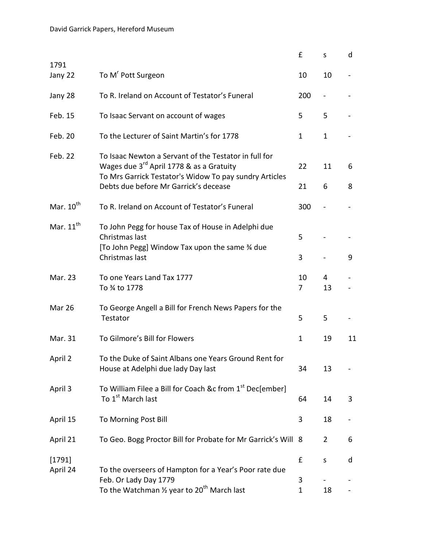|                    |                                                                                                                                                                                                      | £                 | S              | d      |
|--------------------|------------------------------------------------------------------------------------------------------------------------------------------------------------------------------------------------------|-------------------|----------------|--------|
| 1791<br>Jany 22    | To M <sup>r</sup> Pott Surgeon                                                                                                                                                                       | 10                | 10             |        |
| Jany 28            | To R. Ireland on Account of Testator's Funeral                                                                                                                                                       | 200               |                |        |
| Feb. 15            | To Isaac Servant on account of wages                                                                                                                                                                 | 5                 | 5              |        |
| Feb. 20            | To the Lecturer of Saint Martin's for 1778                                                                                                                                                           | $\mathbf{1}$      | $\mathbf{1}$   |        |
| Feb. 22            | To Isaac Newton a Servant of the Testator in full for<br>Wages due 3rd April 1778 & as a Gratuity<br>To Mrs Garrick Testator's Widow To pay sundry Articles<br>Debts due before Mr Garrick's decease | 22<br>21          | 11<br>6        | 6<br>8 |
| Mar. $10^{th}$     | To R. Ireland on Account of Testator's Funeral                                                                                                                                                       | 300               |                |        |
| Mar. $11^{th}$     | To John Pegg for house Tax of House in Adelphi due<br>Christmas last<br>[To John Pegg] Window Tax upon the same 34 due<br>Christmas last                                                             | 5<br>3            |                | 9      |
| Mar. 23            | To one Years Land Tax 1777<br>To % to 1778                                                                                                                                                           | 10<br>7           | 4<br>13        |        |
| Mar 26             | To George Angell a Bill for French News Papers for the<br>Testator                                                                                                                                   | 5                 | 5              |        |
| Mar. 31            | To Gilmore's Bill for Flowers                                                                                                                                                                        | 1                 | 19             | 11     |
| April 2            | To the Duke of Saint Albans one Years Ground Rent for<br>House at Adelphi due lady Day last                                                                                                          | 34                | 13             |        |
| April 3            | To William Filee a Bill for Coach &c from 1 <sup>st</sup> Dec[ember]<br>To 1 <sup>st</sup> March last                                                                                                | 64                | 14             | 3      |
| April 15           | To Morning Post Bill                                                                                                                                                                                 | 3                 | 18             |        |
| April 21           | To Geo. Bogg Proctor Bill for Probate for Mr Garrick's Will 8                                                                                                                                        |                   | $\overline{2}$ | 6      |
| [1791]<br>April 24 | To the overseers of Hampton for a Year's Poor rate due                                                                                                                                               | £                 | S              | d      |
|                    | Feb. Or Lady Day 1779<br>To the Watchman $\frac{1}{2}$ year to 20 <sup>th</sup> March last                                                                                                           | 3<br>$\mathbf{1}$ | 18             |        |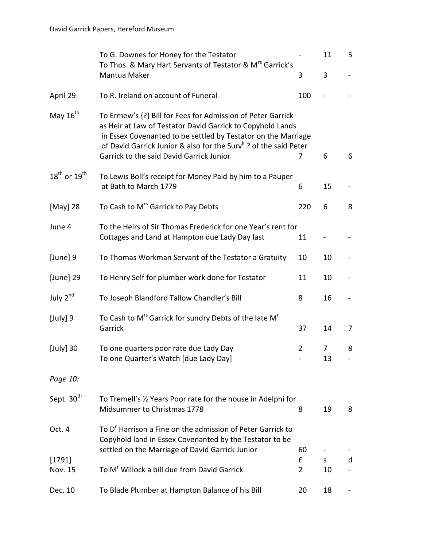|                                      | To G. Downes for Honey for the Testator<br>To Thos. & Mary Hart Servants of Testator & M <sup>rs</sup> Garrick's                                                                                                                                                                                                       |                     | 11      | 5 |
|--------------------------------------|------------------------------------------------------------------------------------------------------------------------------------------------------------------------------------------------------------------------------------------------------------------------------------------------------------------------|---------------------|---------|---|
|                                      | Mantua Maker                                                                                                                                                                                                                                                                                                           | 3                   | 3       |   |
| April 29                             | To R. Ireland on account of Funeral                                                                                                                                                                                                                                                                                    | 100                 |         |   |
| May 16 <sup>th</sup>                 | To Ermew's {?} Bill for Fees for Admission of Peter Garrick<br>as Heir at Law of Testator David Garrick to Copyhold Lands<br>in Essex Covenanted to be settled by Testator on the Marriage<br>of David Garrick Junior & also for the Surv <sup>k</sup> ? of the said Peter<br>Garrick to the said David Garrick Junior | 7                   | 6       | 6 |
| $18^{\text{th}}$ or $19^{\text{th}}$ | To Lewis Boll's receipt for Money Paid by him to a Pauper<br>at Bath to March 1779                                                                                                                                                                                                                                     | 6                   | 15      |   |
| [May] 28                             | To Cash to M <sup>rs</sup> Garrick to Pay Debts                                                                                                                                                                                                                                                                        | 220                 | 6       | 8 |
| June 4                               | To the Heirs of Sir Thomas Frederick for one Year's rent for<br>Cottages and Land at Hampton due Lady Day last                                                                                                                                                                                                         | 11                  |         |   |
| [June] 9                             | To Thomas Workman Servant of the Testator a Gratuity                                                                                                                                                                                                                                                                   | 10                  | 10      |   |
| [June] 29                            | To Henry Self for plumber work done for Testator                                                                                                                                                                                                                                                                       | 11                  | 10      |   |
| July 2nd                             | To Joseph Blandford Tallow Chandler's Bill                                                                                                                                                                                                                                                                             | 8                   | 16      |   |
| [July] 9                             | To Cash to M <sup>rs</sup> Garrick for sundry Debts of the late M <sup>r</sup><br>Garrick                                                                                                                                                                                                                              | 37                  | 14      | 7 |
| $[July]$ 30                          | To one quarters poor rate due Lady Day<br>To one Quarter's Watch [due Lady Day]                                                                                                                                                                                                                                        | $\overline{2}$      | 7<br>13 | 8 |
| Page 10:                             |                                                                                                                                                                                                                                                                                                                        |                     |         |   |
| Sept. 30 <sup>th</sup>               | To Tremell's 1/2 Years Poor rate for the house in Adelphi for<br>Midsummer to Christmas 1778                                                                                                                                                                                                                           | 8                   | 19      | 8 |
| Oct. 4                               | To D' Harrison a Fine on the admission of Peter Garrick to<br>Copyhold land in Essex Covenanted by the Testator to be<br>settled on the Marriage of David Garrick Junior                                                                                                                                               | 60                  |         |   |
| [1791]<br>Nov. 15                    | To M <sup>r</sup> Willock a bill due from David Garrick                                                                                                                                                                                                                                                                | £<br>$\overline{2}$ | S<br>10 | d |
| Dec. 10                              | To Blade Plumber at Hampton Balance of his Bill                                                                                                                                                                                                                                                                        | 20                  | 18      |   |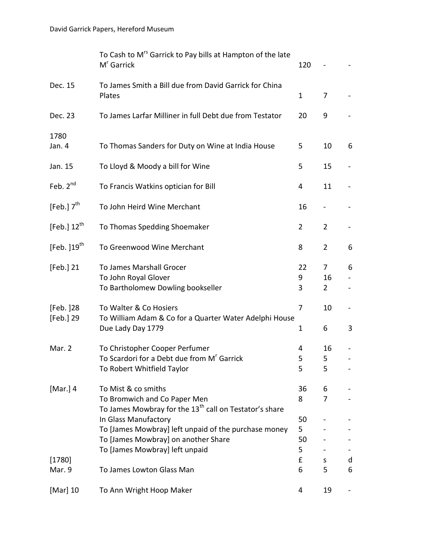|                        | To Cash to M <sup>rs</sup> Garrick to Pay bills at Hampton of the late<br>M <sup>r</sup> Garrick                                                      | 120                            |                           |   |
|------------------------|-------------------------------------------------------------------------------------------------------------------------------------------------------|--------------------------------|---------------------------|---|
| Dec. 15                | To James Smith a Bill due from David Garrick for China<br>Plates                                                                                      | $\mathbf{1}$                   | 7                         |   |
| Dec. 23                | To James Larfar Milliner in full Debt due from Testator                                                                                               | 20                             | 9                         |   |
| 1780<br>Jan. 4         | To Thomas Sanders for Duty on Wine at India House                                                                                                     | 5                              | 10                        | 6 |
| Jan. 15                | To Lloyd & Moody a bill for Wine                                                                                                                      | 5                              | 15                        |   |
| Feb. $2^{nd}$          | To Francis Watkins optician for Bill                                                                                                                  | 4                              | 11                        |   |
| [Feb.] $7th$           | To John Heird Wine Merchant                                                                                                                           | 16                             |                           |   |
| [Feb.] $12^{th}$       | To Thomas Spedding Shoemaker                                                                                                                          | $\overline{2}$                 | $\overline{2}$            |   |
| [Feb. $]19^{th}$       | To Greenwood Wine Merchant                                                                                                                            | 8                              | $\overline{2}$            | 6 |
| [Feb.] 21              | To James Marshall Grocer<br>To John Royal Glover<br>To Bartholomew Dowling bookseller                                                                 | 22<br>9<br>3                   | 7<br>16<br>$\overline{2}$ | 6 |
| [Feb. ]28<br>[Feb.] 29 | To Walter & Co Hosiers<br>To William Adam & Co for a Quarter Water Adelphi House<br>Due Lady Day 1779                                                 | $\overline{7}$<br>$\mathbf{1}$ | 10<br>6                   | 3 |
| Mar. 2                 | To Christopher Cooper Perfumer<br>To Scardori for a Debt due from M' Garrick<br>To Robert Whitfield Taylor                                            | 4<br>5<br>5                    | 16<br>5.<br>5             |   |
| [Mar. 4]               | To Mist & co smiths<br>To Bromwich and Co Paper Men<br>To James Mowbray for the 13 <sup>th</sup> call on Testator's share                             | 36<br>8                        | 6<br>7                    |   |
| [1780]                 | In Glass Manufactory<br>To [James Mowbray] left unpaid of the purchase money<br>To [James Mowbray] on another Share<br>To [James Mowbray] left unpaid | 50<br>5<br>50<br>5<br>£        | S                         | d |
| Mar. 9                 | To James Lowton Glass Man                                                                                                                             | 6                              | 5                         | 6 |
| [Mar] 10               | To Ann Wright Hoop Maker                                                                                                                              | 4                              | 19                        |   |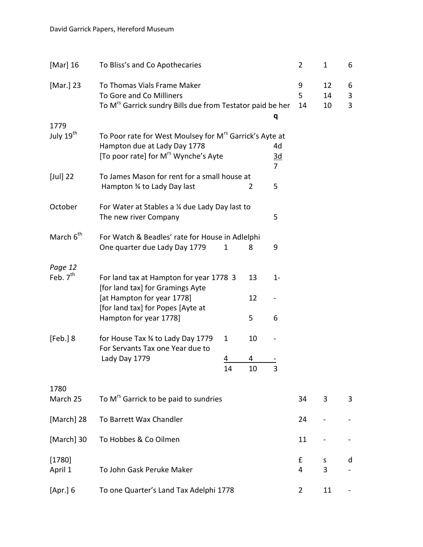| [Mar] 16              | To Bliss's and Co Apothecaries                                                                                                                          |              |         |                             | 2            | 1              | 6           |
|-----------------------|---------------------------------------------------------------------------------------------------------------------------------------------------------|--------------|---------|-----------------------------|--------------|----------------|-------------|
| [Mar.] 23             | To Thomas Vials Frame Maker<br>To Gore and Co Milliners<br>To M <sup>rs</sup> Garrick sundry Bills due from Testator paid be her                        |              |         |                             | 9<br>5<br>14 | 12<br>14<br>10 | 6<br>3<br>3 |
| 1779                  |                                                                                                                                                         |              |         | q                           |              |                |             |
| July 19 <sup>th</sup> | To Poor rate for West Moulsey for M <sup>rs</sup> Garrick's Ayte at<br>Hampton due at Lady Day 1778<br>[To poor rate] for M <sup>rs</sup> Wynche's Ayte |              |         | 4d<br>$\underline{3d}$<br>7 |              |                |             |
| $[Jul]$ 22            | To James Mason for rent for a small house at<br>Hampton 34 to Lady Day last                                                                             |              | 2       | 5                           |              |                |             |
| October               | For Water at Stables a 1/4 due Lady Day last to<br>The new river Company                                                                                |              |         | 5                           |              |                |             |
| March 6 <sup>th</sup> | For Watch & Beadles' rate for House in Adlelphi<br>One quarter due Lady Day 1779                                                                        | 1            | 8       | 9                           |              |                |             |
| Page 12<br>Feb. $7th$ | For land tax at Hampton for year 1778 3<br>[for land tax] for Gramings Ayte                                                                             |              | 13      | $1-$                        |              |                |             |
|                       | [at Hampton for year 1778]<br>[for land tax] for Popes [Ayte at<br>Hampton for year 1778]                                                               |              | 12<br>5 | 6                           |              |                |             |
| [Feb.]8               | for House Tax 3⁄4 to Lady Day 1779                                                                                                                      | $\mathbf{1}$ | 10      |                             |              |                |             |
|                       | For Servants Tax one Year due to<br>Lady Day 1779                                                                                                       | 4<br>14      | 4<br>10 | 3                           |              |                |             |
| 1780<br>March 25      | To M <sup>rs</sup> Garrick to be paid to sundries                                                                                                       |              |         |                             | 34           | 3              | 3           |
| [March] 28            | To Barrett Wax Chandler                                                                                                                                 |              |         |                             | 24           |                |             |
| [March] 30            | To Hobbes & Co Oilmen                                                                                                                                   |              |         |                             | 11           |                |             |
| [1780]<br>April 1     | To John Gask Peruke Maker                                                                                                                               |              |         |                             | £<br>4       | S<br>3         | d           |
| [Apr.] 6              | To one Quarter's Land Tax Adelphi 1778                                                                                                                  |              |         |                             | 2            | 11             |             |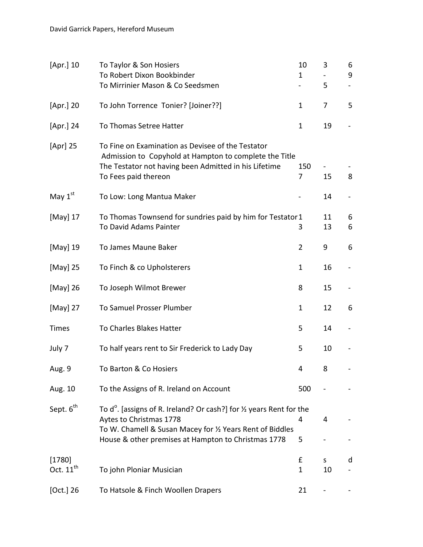| [Apr.] 10                       | To Taylor & Son Hosiers<br>To Robert Dixon Bookbinder<br>To Mirrinier Mason & Co Seedsmen                                                                                                                                                 | 10<br>1           | 3<br>5   | 6<br>9 |
|---------------------------------|-------------------------------------------------------------------------------------------------------------------------------------------------------------------------------------------------------------------------------------------|-------------------|----------|--------|
| [Apr.] 20                       | To John Torrence Tonier? [Joiner??]                                                                                                                                                                                                       | 1                 | 7        | 5      |
| [Apr.] 24                       | To Thomas Setree Hatter                                                                                                                                                                                                                   | $\mathbf{1}$      | 19       |        |
| [Apr] 25                        | To Fine on Examination as Devisee of the Testator<br>Admission to Copyhold at Hampton to complete the Title<br>The Testator not having been Admitted in his Lifetime<br>To Fees paid thereon                                              | 150<br>7          | 15       | 8      |
| May $1st$                       | To Low: Long Mantua Maker                                                                                                                                                                                                                 |                   | 14       |        |
| [May] 17                        | To Thomas Townsend for sundries paid by him for Testator 1<br>To David Adams Painter                                                                                                                                                      | 3                 | 11<br>13 | 6<br>6 |
| [May] 19                        | To James Maune Baker                                                                                                                                                                                                                      | 2                 | 9        | 6      |
| [May] 25                        | To Finch & co Upholsterers                                                                                                                                                                                                                | 1                 | 16       |        |
| [May] 26                        | To Joseph Wilmot Brewer                                                                                                                                                                                                                   | 8                 | 15       |        |
| [May] 27                        | To Samuel Prosser Plumber                                                                                                                                                                                                                 | 1                 | 12       | 6      |
| <b>Times</b>                    | To Charles Blakes Hatter                                                                                                                                                                                                                  | 5                 | 14       |        |
| July 7                          | To half years rent to Sir Frederick to Lady Day                                                                                                                                                                                           | 5                 | 10       |        |
| Aug. 9                          | To Barton & Co Hosiers                                                                                                                                                                                                                    | 4                 | 8        |        |
| Aug. 10                         | To the Assigns of R. Ireland on Account                                                                                                                                                                                                   | 500               |          |        |
| Sept. 6 <sup>th</sup>           | To d <sup>o</sup> . [assigns of R. Ireland? Or cash?] for $\frac{1}{2}$ years Rent for the<br>Aytes to Christmas 1778<br>To W. Chamell & Susan Macey for 1/2 Years Rent of Biddles<br>House & other premises at Hampton to Christmas 1778 | 4<br>5            | 4        |        |
| [1780]<br>Oct. $11^{\text{th}}$ | To john Ploniar Musician                                                                                                                                                                                                                  | £<br>$\mathbf{1}$ | S<br>10  | d      |
| [Oct.] 26                       | To Hatsole & Finch Woollen Drapers                                                                                                                                                                                                        | 21                |          |        |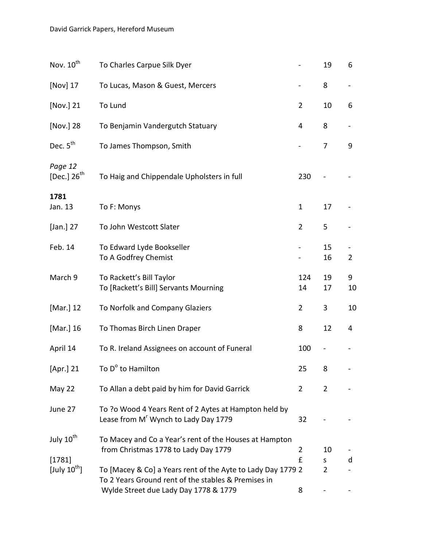| Nov. 10 <sup>th</sup>              | To Charles Carpue Silk Dyer                                                                                        |                | 19                  | 6              |
|------------------------------------|--------------------------------------------------------------------------------------------------------------------|----------------|---------------------|----------------|
| [Nov] 17                           | To Lucas, Mason & Guest, Mercers                                                                                   |                | 8                   |                |
| [Nov.] 21                          | To Lund                                                                                                            | $\overline{2}$ | 10                  | 6              |
| [Nov.] 28                          | To Benjamin Vandergutch Statuary                                                                                   | 4              | 8                   |                |
| Dec. $5th$                         | To James Thompson, Smith                                                                                           |                | 7                   | 9              |
| Page 12<br>[Dec.] $26^{th}$        | To Haig and Chippendale Upholsters in full                                                                         | 230            |                     |                |
| 1781<br>Jan. 13                    | To F: Monys                                                                                                        | $\mathbf{1}$   | 17                  |                |
| [Jan.] $27$                        | To John Westcott Slater                                                                                            | $\overline{2}$ | 5                   |                |
| Feb. 14                            | To Edward Lyde Bookseller<br>To A Godfrey Chemist                                                                  |                | 15<br>16            | $\overline{2}$ |
| March 9                            | To Rackett's Bill Taylor<br>To [Rackett's Bill] Servants Mourning                                                  | 124<br>14      | 19<br>17            | 9<br>10        |
| [Mar.] 12                          | To Norfolk and Company Glaziers                                                                                    | $\overline{2}$ | 3                   | 10             |
| [Mar.] 16                          | To Thomas Birch Linen Draper                                                                                       | 8              | 12                  | 4              |
| April 14                           | To R. Ireland Assignees on account of Funeral                                                                      | 100            |                     |                |
| [Apr.] 21                          | To D <sup>o</sup> to Hamilton                                                                                      | 25             | 8                   |                |
| May 22                             | To Allan a debt paid by him for David Garrick                                                                      | $\mathbf{2}$   | $\overline{2}$      |                |
| June 27                            | To ?o Wood 4 Years Rent of 2 Aytes at Hampton held by<br>Lease from M <sup>r</sup> Wynch to Lady Day 1779          | 32             |                     |                |
| July 10 <sup>th</sup>              | To Macey and Co a Year's rent of the Houses at Hampton<br>from Christmas 1778 to Lady Day 1779                     | 2              | 10                  |                |
| [1781]<br>[July $10^{\text{th}}$ ] | To [Macey & Co] a Years rent of the Ayte to Lady Day 1779 2<br>To 2 Years Ground rent of the stables & Premises in | £              | S<br>$\overline{2}$ | d              |
|                                    | Wylde Street due Lady Day 1778 & 1779                                                                              | 8              |                     |                |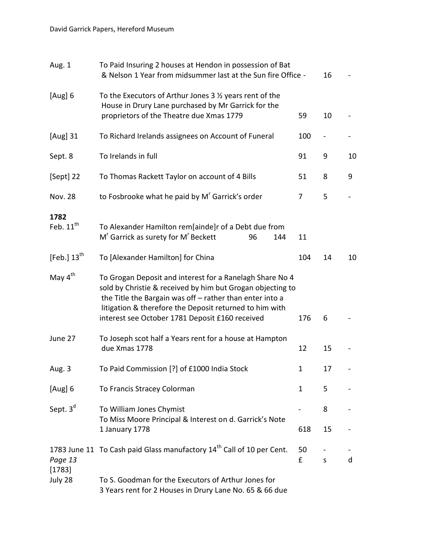| Aug. 1                  | To Paid Insuring 2 houses at Hendon in possession of Bat<br>& Nelson 1 Year from midsummer last at the Sun fire Office -                                                                                                                                                                         |         | 16          |    |
|-------------------------|--------------------------------------------------------------------------------------------------------------------------------------------------------------------------------------------------------------------------------------------------------------------------------------------------|---------|-------------|----|
| [Aug] 6                 | To the Executors of Arthur Jones $3 \frac{1}{2}$ years rent of the<br>House in Drury Lane purchased by Mr Garrick for the<br>proprietors of the Theatre due Xmas 1779                                                                                                                            | 59      | 10          |    |
| [Aug] 31                | To Richard Irelands assignees on Account of Funeral                                                                                                                                                                                                                                              | 100     |             |    |
| Sept. 8                 | To Irelands in full                                                                                                                                                                                                                                                                              | 91      | 9           | 10 |
| [Sept] 22               | To Thomas Rackett Taylor on account of 4 Bills                                                                                                                                                                                                                                                   | 51      | 8           | 9  |
| <b>Nov. 28</b>          | to Fosbrooke what he paid by M <sup>r</sup> Garrick's order                                                                                                                                                                                                                                      | 7       | 5           |    |
| 1782<br>Feb. $11th$     | To Alexander Hamilton rem[ainde]r of a Debt due from<br>M <sup>r</sup> Garrick as surety for M <sup>r</sup> Beckett<br>144<br>96                                                                                                                                                                 | 11      |             |    |
| [Feb.] $13^{\text{th}}$ | To [Alexander Hamilton] for China                                                                                                                                                                                                                                                                | 104     | 14          | 10 |
| May $4^{\text{th}}$     | To Grogan Deposit and interest for a Ranelagh Share No 4<br>sold by Christie & received by him but Grogan objecting to<br>the Title the Bargain was off - rather than enter into a<br>litigation & therefore the Deposit returned to him with<br>interest see October 1781 Deposit £160 received | 176     | 6           |    |
| June 27                 | To Joseph scot half a Years rent for a house at Hampton<br>due Xmas 1778                                                                                                                                                                                                                         | 12      | 15          |    |
| Aug. 3                  | To Paid Commission [?] of £1000 India Stock                                                                                                                                                                                                                                                      | 1.      | 17          |    |
| [Aug] 6                 | To Francis Stracey Colorman                                                                                                                                                                                                                                                                      | 1       | 5           |    |
| Sept. $3d$              | To William Jones Chymist<br>To Miss Moore Principal & Interest on d. Garrick's Note<br>1 January 1778                                                                                                                                                                                            | 618     | 8<br>15     |    |
| Page 13<br>[1783]       | 1783 June 11 To Cash paid Glass manufactory 14 <sup>th</sup> Call of 10 per Cent.                                                                                                                                                                                                                | 50<br>£ | $\mathsf S$ | d  |
| July 28                 | To S. Goodman for the Executors of Arthur Jones for<br>3 Years rent for 2 Houses in Drury Lane No. 65 & 66 due                                                                                                                                                                                   |         |             |    |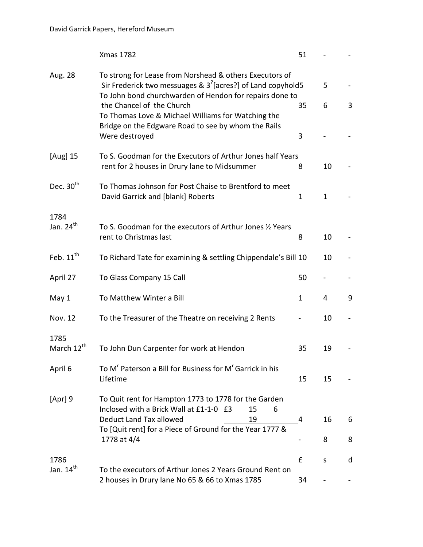|                       | <b>Xmas 1782</b>                                                                                                                                                                       | 51           |    |   |
|-----------------------|----------------------------------------------------------------------------------------------------------------------------------------------------------------------------------------|--------------|----|---|
| Aug. 28               | To strong for Lease from Norshead & others Executors of<br>Sir Frederick two messuages & $3^{7}$ [acres?] of Land copyhold5<br>To John bond churchwarden of Hendon for repairs done to |              | 5  |   |
|                       | the Chancel of the Church<br>To Thomas Love & Michael Williams for Watching the                                                                                                        | 35           | 6  | 3 |
|                       | Bridge on the Edgware Road to see by whom the Rails<br>Were destroyed                                                                                                                  | 3            |    |   |
| [Aug] 15              | To S. Goodman for the Executors of Arthur Jones half Years<br>rent for 2 houses in Drury lane to Midsummer                                                                             | 8            | 10 |   |
| Dec. 30 <sup>th</sup> | To Thomas Johnson for Post Chaise to Brentford to meet<br>David Garrick and [blank] Roberts                                                                                            | 1            | 1  |   |
| 1784                  |                                                                                                                                                                                        |              |    |   |
| Jan. 24 <sup>th</sup> | To S. Goodman for the executors of Arthur Jones 1/2 Years<br>rent to Christmas last                                                                                                    | 8            | 10 |   |
| Feb. $11^{\text{th}}$ | To Richard Tate for examining & settling Chippendale's Bill 10                                                                                                                         |              | 10 |   |
| April 27              | To Glass Company 15 Call                                                                                                                                                               | 50           |    |   |
| May 1                 | To Matthew Winter a Bill                                                                                                                                                               | $\mathbf{1}$ | 4  | 9 |
| Nov. 12               | To the Treasurer of the Theatre on receiving 2 Rents                                                                                                                                   |              | 10 |   |
| 1785                  |                                                                                                                                                                                        |              |    |   |
| March 12th            | To John Dun Carpenter for work at Hendon                                                                                                                                               | 35           | 19 |   |
| April 6               | To M <sup>r</sup> Paterson a Bill for Business for M <sup>r</sup> Garrick in his<br>Lifetime                                                                                           | 15           | 15 |   |
| [Apr] 9               | To Quit rent for Hampton 1773 to 1778 for the Garden<br>Inclosed with a Brick Wall at £1-1-0 £3<br>15<br>6                                                                             |              |    |   |
|                       | Deduct Land Tax allowed<br>19                                                                                                                                                          | 4            | 16 | 6 |
|                       | To [Quit rent] for a Piece of Ground for the Year 1777 &<br>1778 at 4/4                                                                                                                |              | 8  | 8 |
| 1786                  |                                                                                                                                                                                        | £            | S  | d |
| Jan. $14th$           | To the executors of Arthur Jones 2 Years Ground Rent on<br>2 houses in Drury lane No 65 & 66 to Xmas 1785                                                                              | 34           |    |   |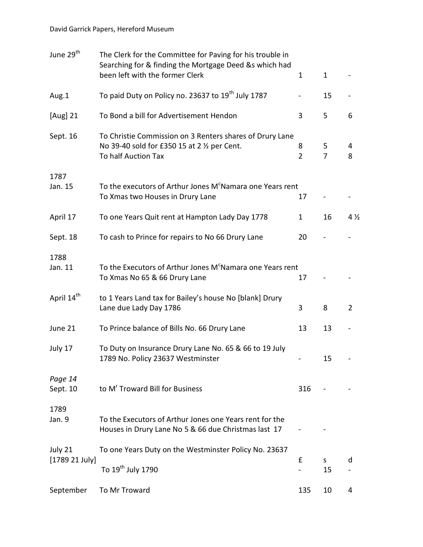| June 29 <sup>th</sup>  | The Clerk for the Committee for Paving for his trouble in<br>Searching for & finding the Mortgage Deed &s which had<br>been left with the former Clerk | $\mathbf{1}$             | $\mathbf{1}$        |                |
|------------------------|--------------------------------------------------------------------------------------------------------------------------------------------------------|--------------------------|---------------------|----------------|
| Aug.1                  | To paid Duty on Policy no. 23637 to 19 <sup>th</sup> July 1787                                                                                         | $\overline{\phantom{0}}$ | 15                  |                |
| [Aug] 21               | To Bond a bill for Advertisement Hendon                                                                                                                | 3                        | 5                   | 6              |
| Sept. 16               | To Christie Commission on 3 Renters shares of Drury Lane<br>No 39-40 sold for £350 15 at 2 1/2 per Cent.<br>To half Auction Tax                        | 8<br>$\overline{2}$      | 5<br>$\overline{7}$ | 4<br>8         |
| 1787<br>Jan. 15        | To the executors of Arthur Jones M <sup>c</sup> Namara one Years rent<br>To Xmas two Houses in Drury Lane                                              | 17                       |                     |                |
| April 17               | To one Years Quit rent at Hampton Lady Day 1778                                                                                                        | $\mathbf{1}$             | 16                  | $4\frac{1}{2}$ |
| Sept. 18               | To cash to Prince for repairs to No 66 Drury Lane                                                                                                      | 20                       |                     |                |
| 1788<br>Jan. 11        | To the Executors of Arthur Jones M <sup>c</sup> Namara one Years rent<br>To Xmas No 65 & 66 Drury Lane                                                 | 17                       |                     |                |
| April 14 <sup>th</sup> | to 1 Years Land tax for Bailey's house No [blank] Drury<br>Lane due Lady Day 1786                                                                      | 3                        | 8                   | $\overline{2}$ |
| June 21                | To Prince balance of Bills No. 66 Drury Lane                                                                                                           | 13                       | 13                  |                |
| July 17                | To Duty on Insurance Drury Lane No. 65 & 66 to 19 July<br>1789 No. Policy 23637 Westminster                                                            |                          | 15                  |                |
| Page 14<br>Sept. 10    | to M <sup>r</sup> Troward Bill for Business                                                                                                            | 316                      |                     |                |
| 1789<br>Jan. 9         | To the Executors of Arthur Jones one Years rent for the<br>Houses in Drury Lane No 5 & 66 due Christmas last 17                                        |                          |                     |                |
| July 21                | To one Years Duty on the Westminster Policy No. 23637                                                                                                  |                          |                     |                |
| [1789 21 July]         | To 19 <sup>th</sup> July 1790                                                                                                                          | £                        | S.<br>15            | d              |
| September              | To Mr Troward                                                                                                                                          | 135                      | 10                  | 4              |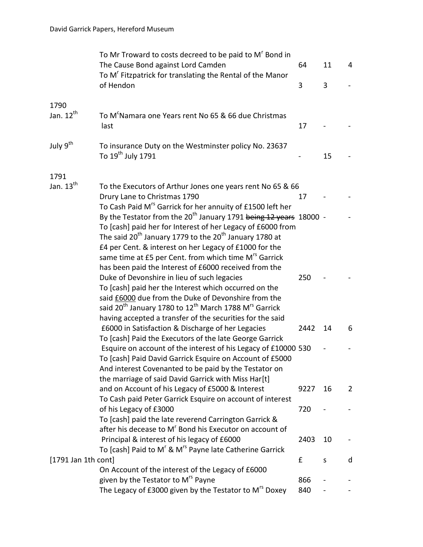|                       | To Mr Troward to costs decreed to be paid to M <sup>r</sup> Bond in<br>The Cause Bond against Lord Camden<br>To M <sup>r</sup> Fitzpatrick for translating the Rental of the Manor                                                                                                                                                                                                                                                      | 64   | 11 | 4            |
|-----------------------|-----------------------------------------------------------------------------------------------------------------------------------------------------------------------------------------------------------------------------------------------------------------------------------------------------------------------------------------------------------------------------------------------------------------------------------------|------|----|--------------|
|                       | of Hendon                                                                                                                                                                                                                                                                                                                                                                                                                               | 3    | 3  |              |
| 1790                  |                                                                                                                                                                                                                                                                                                                                                                                                                                         |      |    |              |
| Jan. $12^{th}$        | To M <sup>c</sup> Namara one Years rent No 65 & 66 due Christmas<br>last                                                                                                                                                                                                                                                                                                                                                                | 17   |    |              |
| July 9 <sup>th</sup>  | To insurance Duty on the Westminster policy No. 23637<br>To 19 <sup>th</sup> July 1791                                                                                                                                                                                                                                                                                                                                                  |      | 15 |              |
| 1791                  |                                                                                                                                                                                                                                                                                                                                                                                                                                         |      |    |              |
| Jan. $13th$           | To the Executors of Arthur Jones one years rent No 65 & 66<br>Drury Lane to Christmas 1790                                                                                                                                                                                                                                                                                                                                              | 17   |    |              |
|                       | To Cash Paid M <sup>rs</sup> Garrick for her annuity of £1500 left her<br>By the Testator from the 20 <sup>th</sup> January 1791 being 12 years 18000 -<br>To [cash] paid her for Interest of her Legacy of £6000 from<br>The said 20 <sup>th</sup> January 1779 to the 20 <sup>th</sup> January 1780 at<br>£4 per Cent. & interest on her Legacy of £1000 for the<br>same time at £5 per Cent. from which time M <sup>rs</sup> Garrick |      |    |              |
|                       | has been paid the Interest of £6000 received from the<br>Duke of Devonshire in lieu of such legacies<br>To [cash] paid her the Interest which occurred on the<br>said £6000 due from the Duke of Devonshire from the<br>said 20 <sup>th</sup> January 1780 to 12 <sup>th</sup> March 1788 M <sup>rs</sup> Garrick<br>having accepted a transfer of the securities for the said                                                          | 250  |    |              |
|                       | £6000 in Satisfaction & Discharge of her Legacies                                                                                                                                                                                                                                                                                                                                                                                       | 2442 | 14 | 6            |
|                       | To [cash] Paid the Executors of the late George Garrick<br>Esquire on account of the interest of his Legacy of £10000 530<br>To [cash] Paid David Garrick Esquire on Account of £5000<br>And interest Covenanted to be paid by the Testator on                                                                                                                                                                                          |      |    |              |
|                       | the marriage of said David Garrick with Miss Har[t]<br>and on Account of his Legacy of £5000 & Interest                                                                                                                                                                                                                                                                                                                                 | 9227 | 16 | $\mathbf{2}$ |
|                       | To Cash paid Peter Garrick Esquire on account of interest<br>of his Legacy of £3000<br>To [cash] paid the late reverend Carrington Garrick &                                                                                                                                                                                                                                                                                            | 720  |    |              |
|                       | after his decease to M <sup>r</sup> Bond his Executor on account of<br>Principal & interest of his legacy of £6000<br>To [cash] Paid to M' & M <sup>rs</sup> Payne late Catherine Garrick                                                                                                                                                                                                                                               | 2403 | 10 |              |
| $[1791$ Jan 1th cont] |                                                                                                                                                                                                                                                                                                                                                                                                                                         | £    | S  | d            |
|                       | On Account of the interest of the Legacy of £6000<br>given by the Testator to M <sup>rs</sup> Payne                                                                                                                                                                                                                                                                                                                                     | 866  |    |              |
|                       | The Legacy of £3000 given by the Testator to M <sup>rs</sup> Doxey                                                                                                                                                                                                                                                                                                                                                                      | 840  |    |              |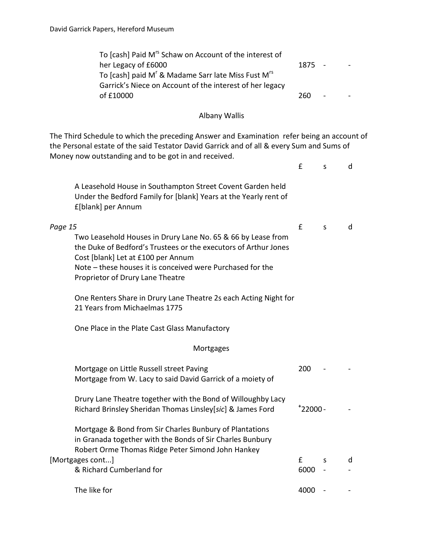| To [cash] Paid M <sup>rs</sup> Schaw on Account of the interest of         |        |            |  |
|----------------------------------------------------------------------------|--------|------------|--|
| her Legacy of £6000                                                        | 1875 - |            |  |
| To [cash] paid M <sup>r</sup> & Madame Sarr late Miss Fust M <sup>rs</sup> |        |            |  |
| Garrick's Niece on Account of the interest of her legacy                   |        |            |  |
| of £10000                                                                  | 260.   | $\sim 100$ |  |

#### Albany Wallis

The Third Schedule to which the preceding Answer and Examination refer being an account of the Personal estate of the said Testator David Garrick and of all & every Sum and Sums of Money now outstanding and to be got in and received.

|                                                                                                                                                                                                                                                                                                                                                        | £            | S | d |
|--------------------------------------------------------------------------------------------------------------------------------------------------------------------------------------------------------------------------------------------------------------------------------------------------------------------------------------------------------|--------------|---|---|
| A Leasehold House in Southampton Street Covent Garden held<br>Under the Bedford Family for [blank] Years at the Yearly rent of<br>£[blank] per Annum                                                                                                                                                                                                   |              |   |   |
| Page 15<br>Two Leasehold Houses in Drury Lane No. 65 & 66 by Lease from<br>the Duke of Bedford's Trustees or the executors of Arthur Jones<br>Cost [blank] Let at £100 per Annum<br>Note – these houses it is conceived were Purchased for the<br>Proprietor of Drury Lane Theatre<br>One Renters Share in Drury Lane Theatre 2s each Acting Night for | $\mathbf{f}$ | S | d |
| 21 Years from Michaelmas 1775<br>One Place in the Plate Cast Glass Manufactory                                                                                                                                                                                                                                                                         |              |   |   |
| Mortgages                                                                                                                                                                                                                                                                                                                                              |              |   |   |
| Mortgage on Little Russell street Paving<br>Mortgage from W. Lacy to said David Garrick of a moiety of                                                                                                                                                                                                                                                 | 200          |   |   |
| Drury Lane Theatre together with the Bond of Willoughby Lacy<br>Richard Brinsley Sheridan Thomas Linsley[sic] & James Ford                                                                                                                                                                                                                             | $+22000 -$   |   |   |
| Mortgage & Bond from Sir Charles Bunbury of Plantations<br>in Granada together with the Bonds of Sir Charles Bunbury<br>Robert Orme Thomas Ridge Peter Simond John Hankey                                                                                                                                                                              |              |   |   |
| [Mortgages cont]<br>& Richard Cumberland for                                                                                                                                                                                                                                                                                                           | £<br>6000    | S | d |
| The like for                                                                                                                                                                                                                                                                                                                                           | 4000         |   |   |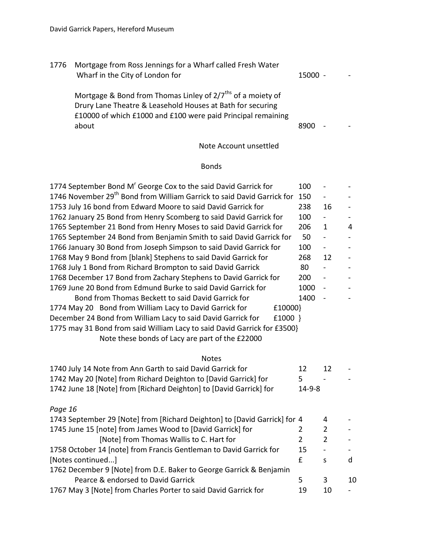| 1776 | Mortgage from Ross Jennings for a Wharf called Fresh Water<br>Wharf in the City of London for                                                                                                                  | $15000 -$ |                      |  |
|------|----------------------------------------------------------------------------------------------------------------------------------------------------------------------------------------------------------------|-----------|----------------------|--|
|      | Mortgage & Bond from Thomas Linley of 2/7 <sup>ths</sup> of a moiety of<br>Drury Lane Theatre & Leasehold Houses at Bath for securing<br>£10000 of which £1000 and £100 were paid Principal remaining<br>about | 8900      | $\ddot{\phantom{a}}$ |  |

# Note Account unsettled

## Bonds

| 1774 September Bond M <sup>r</sup> George Cox to the said David Garrick for        | 100            | ÷                        |    |
|------------------------------------------------------------------------------------|----------------|--------------------------|----|
| 1746 November 29 <sup>th</sup> Bond from William Garrick to said David Garrick for |                | ÷                        |    |
| 1753 July 16 bond from Edward Moore to said David Garrick for                      | 238            | 16                       |    |
| 1762 January 25 Bond from Henry Scomberg to said David Garrick for                 | 100            | ÷,                       |    |
| 1765 September 21 Bond from Henry Moses to said David Garrick for                  | 206            | $\mathbf{1}$             | 4  |
| 1765 September 24 Bond from Benjamin Smith to said David Garrick for               | 50             | $\overline{\phantom{0}}$ |    |
| 1766 January 30 Bond from Joseph Simpson to said David Garrick for                 | 100            | $\frac{1}{2}$            |    |
| 1768 May 9 Bond from [blank] Stephens to said David Garrick for                    | 268            | 12                       |    |
| 1768 July 1 Bond from Richard Brompton to said David Garrick                       | 80             | $\blacksquare$           |    |
| 1768 December 17 Bond from Zachary Stephens to David Garrick for                   | 200            | $\overline{\phantom{0}}$ |    |
| 1769 June 20 Bond from Edmund Burke to said David Garrick for                      | 1000           | ÷,                       |    |
| Bond from Thomas Beckett to said David Garrick for                                 | 1400           | $\blacksquare$           |    |
| 1774 May 20 Bond from William Lacy to David Garrick for<br>£10000}                 |                |                          |    |
| December 24 Bond from William Lacy to said David Garrick for<br>$£1000$ }          |                |                          |    |
| 1775 may 31 Bond from said William Lacy to said David Garrick for £3500}           |                |                          |    |
| Note these bonds of Lacy are part of the £22000                                    |                |                          |    |
|                                                                                    |                |                          |    |
| <b>Notes</b>                                                                       |                |                          |    |
| 1740 July 14 Note from Ann Garth to said David Garrick for                         | 12             | 12                       |    |
| 1742 May 20 [Note] from Richard Deighton to [David Garrick] for                    | 5              |                          |    |
| 1742 June 18 [Note] from [Richard Deighton] to [David Garrick] for                 | $14 - 9 - 8$   |                          |    |
|                                                                                    |                |                          |    |
| Page 16                                                                            |                |                          |    |
| 1743 September 29 [Note] from [Richard Deighton] to [David Garrick] for 4          |                | 4                        |    |
| 1745 June 15 [note] from James Wood to [David Garrick] for                         | 2              | $\overline{2}$           |    |
| [Note] from Thomas Wallis to C. Hart for                                           | $\overline{2}$ | $\overline{2}$           |    |
| 1758 October 14 [note] from Francis Gentleman to David Garrick for                 | 15             | $\blacksquare$           |    |
| [Notes continued]                                                                  | £              | S                        | d  |
| 1762 December 9 [Note] from D.E. Baker to George Garrick & Benjamin                |                |                          |    |
| Pearce & endorsed to David Garrick                                                 | 5              | 3                        | 10 |
| 1767 May 3 [Note] from Charles Porter to said David Garrick for                    | 19             | 10                       |    |